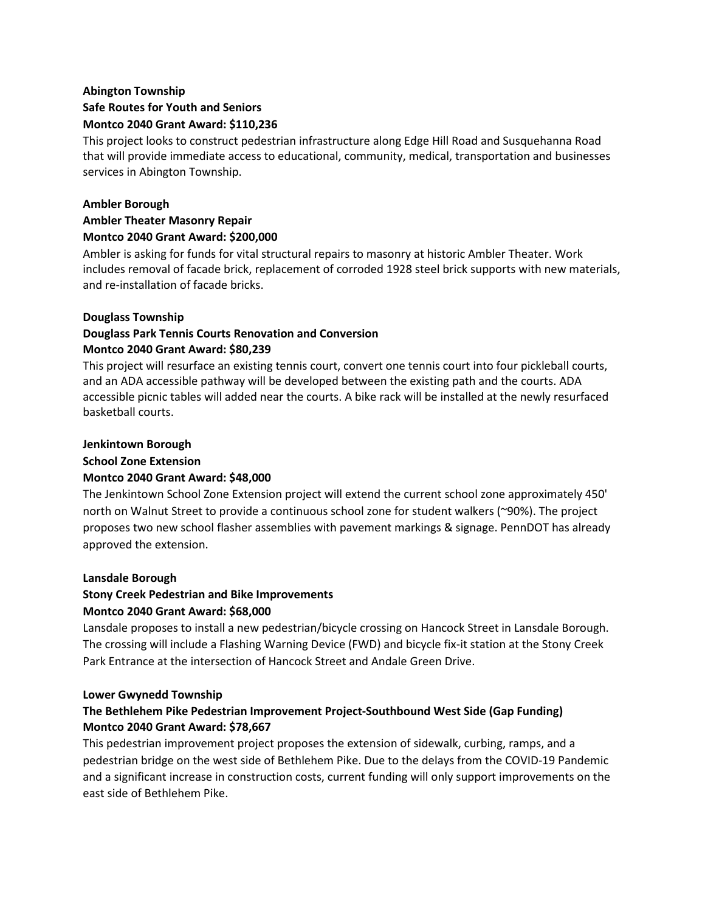## **Abington Township Safe Routes for Youth and Seniors Montco 2040 Grant Award: \$110,236**

This project looks to construct pedestrian infrastructure along Edge Hill Road and Susquehanna Road that will provide immediate access to educational, community, medical, transportation and businesses services in Abington Township.

### **Ambler Borough**

### **Ambler Theater Masonry Repair Montco 2040 Grant Award: \$200,000**

Ambler is asking for funds for vital structural repairs to masonry at historic Ambler Theater. Work includes removal of facade brick, replacement of corroded 1928 steel brick supports with new materials, and re-installation of facade bricks.

#### **Douglass Township**

# **Douglass Park Tennis Courts Renovation and Conversion Montco 2040 Grant Award: \$80,239**

This project will resurface an existing tennis court, convert one tennis court into four pickleball courts, and an ADA accessible pathway will be developed between the existing path and the courts. ADA accessible picnic tables will added near the courts. A bike rack will be installed at the newly resurfaced basketball courts.

#### **Jenkintown Borough**

#### **School Zone Extension**

### **Montco 2040 Grant Award: \$48,000**

The Jenkintown School Zone Extension project will extend the current school zone approximately 450' north on Walnut Street to provide a continuous school zone for student walkers (~90%). The project proposes two new school flasher assemblies with pavement markings & signage. PennDOT has already approved the extension.

### **Lansdale Borough**

# **Stony Creek Pedestrian and Bike Improvements**

### **Montco 2040 Grant Award: \$68,000**

Lansdale proposes to install a new pedestrian/bicycle crossing on Hancock Street in Lansdale Borough. The crossing will include a Flashing Warning Device (FWD) and bicycle fix-it station at the Stony Creek Park Entrance at the intersection of Hancock Street and Andale Green Drive.

#### **Lower Gwynedd Township**

## **The Bethlehem Pike Pedestrian Improvement Project-Southbound West Side (Gap Funding) Montco 2040 Grant Award: \$78,667**

This pedestrian improvement project proposes the extension of sidewalk, curbing, ramps, and a pedestrian bridge on the west side of Bethlehem Pike. Due to the delays from the COVID-19 Pandemic and a significant increase in construction costs, current funding will only support improvements on the east side of Bethlehem Pike.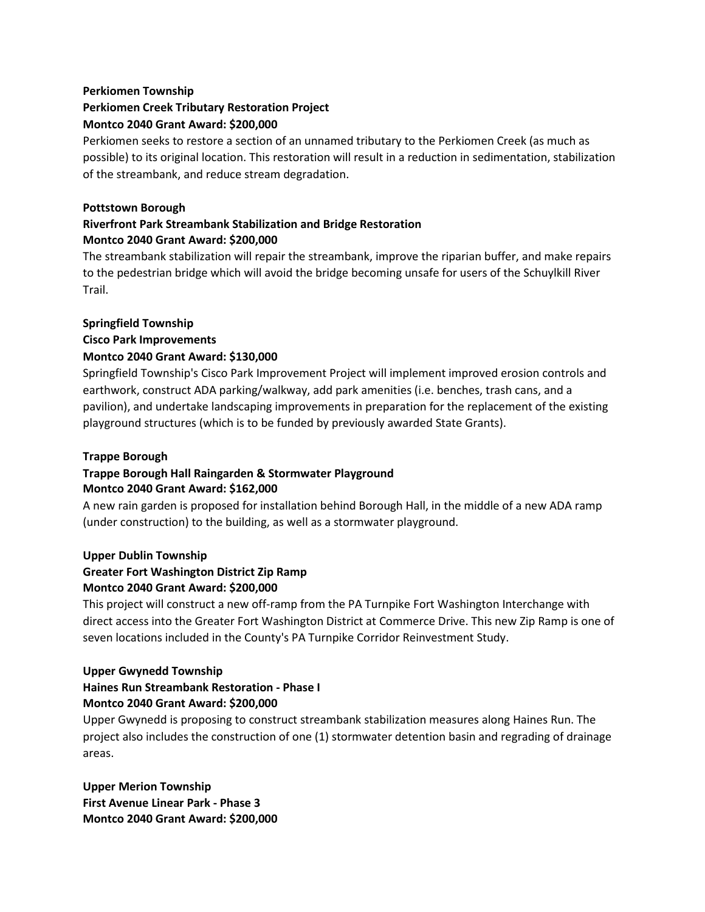# **Perkiomen Township Perkiomen Creek Tributary Restoration Project Montco 2040 Grant Award: \$200,000**

Perkiomen seeks to restore a section of an unnamed tributary to the Perkiomen Creek (as much as possible) to its original location. This restoration will result in a reduction in sedimentation, stabilization of the streambank, and reduce stream degradation.

### **Pottstown Borough**

# **Riverfront Park Streambank Stabilization and Bridge Restoration Montco 2040 Grant Award: \$200,000**

The streambank stabilization will repair the streambank, improve the riparian buffer, and make repairs to the pedestrian bridge which will avoid the bridge becoming unsafe for users of the Schuylkill River Trail.

## **Springfield Township**

**Cisco Park Improvements**

## **Montco 2040 Grant Award: \$130,000**

Springfield Township's Cisco Park Improvement Project will implement improved erosion controls and earthwork, construct ADA parking/walkway, add park amenities (i.e. benches, trash cans, and a pavilion), and undertake landscaping improvements in preparation for the replacement of the existing playground structures (which is to be funded by previously awarded State Grants).

### **Trappe Borough**

#### **Trappe Borough Hall Raingarden & Stormwater Playground Montco 2040 Grant Award: \$162,000**

A new rain garden is proposed for installation behind Borough Hall, in the middle of a new ADA ramp (under construction) to the building, as well as a stormwater playground.

### **Upper Dublin Township Greater Fort Washington District Zip Ramp Montco 2040 Grant Award: \$200,000**

This project will construct a new off-ramp from the PA Turnpike Fort Washington Interchange with direct access into the Greater Fort Washington District at Commerce Drive. This new Zip Ramp is one of seven locations included in the County's PA Turnpike Corridor Reinvestment Study.

## **Upper Gwynedd Township Haines Run Streambank Restoration - Phase I Montco 2040 Grant Award: \$200,000**

Upper Gwynedd is proposing to construct streambank stabilization measures along Haines Run. The project also includes the construction of one (1) stormwater detention basin and regrading of drainage areas.

**Upper Merion Township First Avenue Linear Park - Phase 3 Montco 2040 Grant Award: \$200,000**